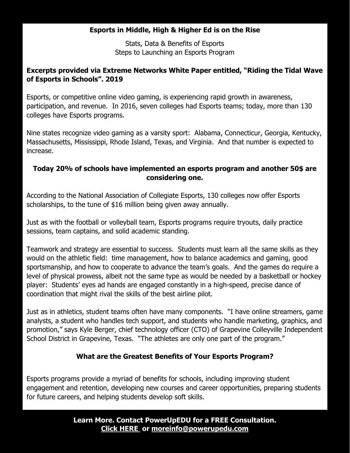# **Esports in Middle, High & Higher Ed is on the Rise**

Stats, Data & Benefits of Esports Steps to Launching an Esports Program

# **Excerpts provided via Extreme Networks White Paper entitled, "Riding the Tidal Wave of Esports in Schools". 2019**

Esports, or competitive online video gaming, is experiencing rapid growth in awareness, participation, and revenue. In 2016, seven colleges had Esports teams; today, more than 130 colleges have Esports programs.

Nine states recognize video gaming as a varsity sport: Alabama, Connecticur, Georgia, Kentucky, Massachusetts, Mississippi, Rhode Island, Texas, and Virginia. And that number is expected to increase.

### **Today 20% of schools have implemented an esports program and another 50\$ are considering one.**

According to the National Association of Collegiate Esports, 130 colleges now offer Esports scholarships, to the tune of \$16 million being given away annually.

Just as with the football or volleyball team, Esports programs require tryouts, daily practice sessions, team captains, and solid academic standing.

Teamwork and strategy are essential to success. Students must learn all the same skills as they would on the athletic field: time management, how to balance academics and gaming, good sportsmanship, and how to cooperate to advance the team's goals. And the games do require a level of physical prowess, albeit not the same type as would be needed by a basketball or hockey player: Students' eyes ad hands are engaged constantly in a high-speed, precise dance of coordination that might rival the skills of the best airline pilot.

Just as in athletics, student teams often have many components. "I have online streamers, game analysts, a student who handles tech support, and students who handle marketing, graphics, and promotion," says Kyle Berger, chief technology officer (CTO) of Grapevine Colleyville Independent School District in Grapevine, Texas. "The athletes are only one part of the program."

# **What are the Greatest Benefits of Your Esports Program?**

Esports programs provide a myriad of benefits for schools, including improving student engagement and retention, developing new courses and career opportunities, preparing students for future careers, and helping students develop soft skills.

> **Learn More. Contact PowerUpEDU for a FREE Consultation. [Click HERE](https://powerupedu.com/contact-us/) or [moreinfo@powerupedu.com](mailto:moreinfo@powerupedu.com)**